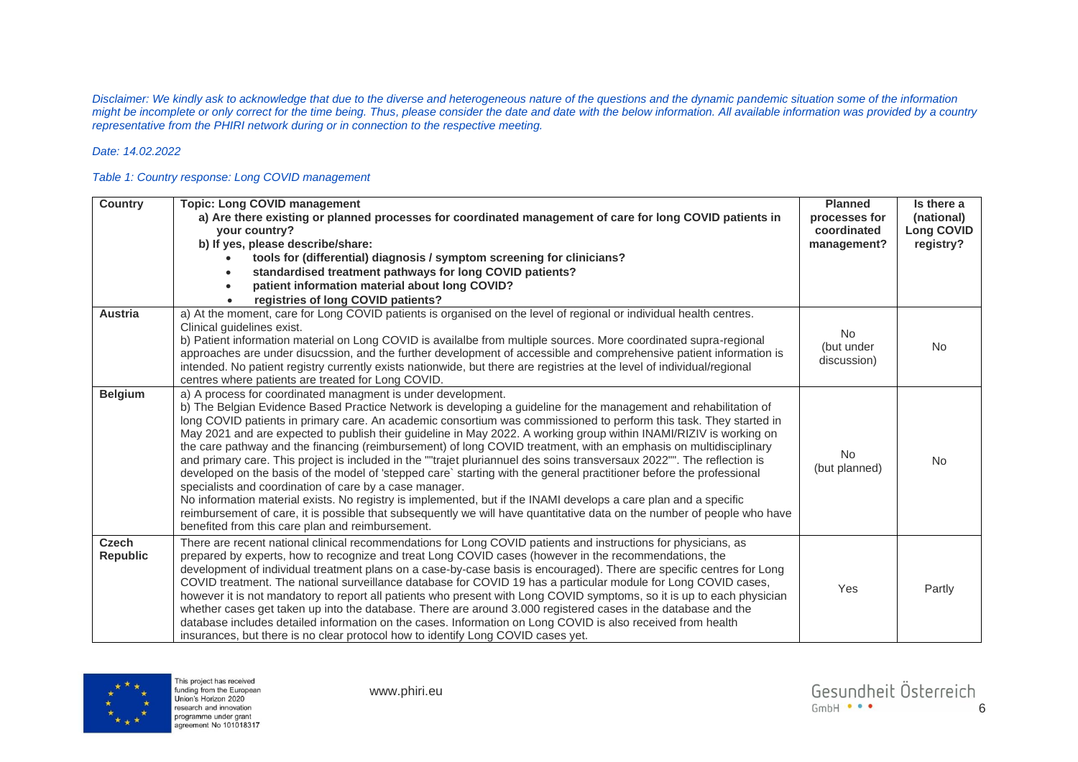*Disclaimer: We kindly ask to acknowledge that due to the diverse and heterogeneous nature of the questions and the dynamic pandemic situation some of the information*  might be incomplete or only correct for the time being. Thus, please consider the date and date with the below information. All available information was provided by a country *representative from the PHIRI network during or in connection to the respective meeting.* 

## *Date: 14.02.2022*

## *Table 1: Country response: Long COVID management*

| <b>Country</b>           | <b>Topic: Long COVID management</b><br>a) Are there existing or planned processes for coordinated management of care for long COVID patients in<br>your country?<br>b) If yes, please describe/share:<br>tools for (differential) diagnosis / symptom screening for clinicians?<br>standardised treatment pathways for long COVID patients?<br>$\bullet$<br>patient information material about long COVID?<br>$\bullet$<br>registries of long COVID patients?                                                                                                                                                                                                                                                                                                                                                                                                                                                                                                                                                                                                                                                                                                       | <b>Planned</b><br>processes for<br>coordinated<br>management? | Is there a<br>(national)<br><b>Long COVID</b><br>registry? |
|--------------------------|---------------------------------------------------------------------------------------------------------------------------------------------------------------------------------------------------------------------------------------------------------------------------------------------------------------------------------------------------------------------------------------------------------------------------------------------------------------------------------------------------------------------------------------------------------------------------------------------------------------------------------------------------------------------------------------------------------------------------------------------------------------------------------------------------------------------------------------------------------------------------------------------------------------------------------------------------------------------------------------------------------------------------------------------------------------------------------------------------------------------------------------------------------------------|---------------------------------------------------------------|------------------------------------------------------------|
| <b>Austria</b>           | a) At the moment, care for Long COVID patients is organised on the level of regional or individual health centres.<br>Clinical quidelines exist.<br>b) Patient information material on Long COVID is availalbe from multiple sources. More coordinated supra-regional<br>approaches are under disucssion, and the further development of accessible and comprehensive patient information is<br>intended. No patient registry currently exists nationwide, but there are registries at the level of individual/regional<br>centres where patients are treated for Long COVID.                                                                                                                                                                                                                                                                                                                                                                                                                                                                                                                                                                                       | <b>No</b><br>(but under<br>discussion)                        | <b>No</b>                                                  |
| <b>Belgium</b>           | a) A process for coordinated managment is under development.<br>b) The Belgian Evidence Based Practice Network is developing a guideline for the management and rehabilitation of<br>long COVID patients in primary care. An academic consortium was commissioned to perform this task. They started in<br>May 2021 and are expected to publish their guideline in May 2022. A working group within INAMI/RIZIV is working on<br>the care pathway and the financing (reimbursement) of long COVID treatment, with an emphasis on multidisciplinary<br>and primary care. This project is included in the ""trajet pluriannuel des soins transversaux 2022"". The reflection is<br>developed on the basis of the model of 'stepped care' starting with the general practitioner before the professional<br>specialists and coordination of care by a case manager.<br>No information material exists. No registry is implemented, but if the INAMI develops a care plan and a specific<br>reimbursement of care, it is possible that subsequently we will have quantitative data on the number of people who have<br>benefited from this care plan and reimbursement. | No.<br>(but planned)                                          | <b>No</b>                                                  |
| Czech<br><b>Republic</b> | There are recent national clinical recommendations for Long COVID patients and instructions for physicians, as<br>prepared by experts, how to recognize and treat Long COVID cases (however in the recommendations, the<br>development of individual treatment plans on a case-by-case basis is encouraged). There are specific centres for Long<br>COVID treatment. The national surveillance database for COVID 19 has a particular module for Long COVID cases,<br>however it is not mandatory to report all patients who present with Long COVID symptoms, so it is up to each physician<br>whether cases get taken up into the database. There are around 3.000 registered cases in the database and the<br>database includes detailed information on the cases. Information on Long COVID is also received from health<br>insurances, but there is no clear protocol how to identify Long COVID cases yet.                                                                                                                                                                                                                                                    | Yes                                                           | Partly                                                     |

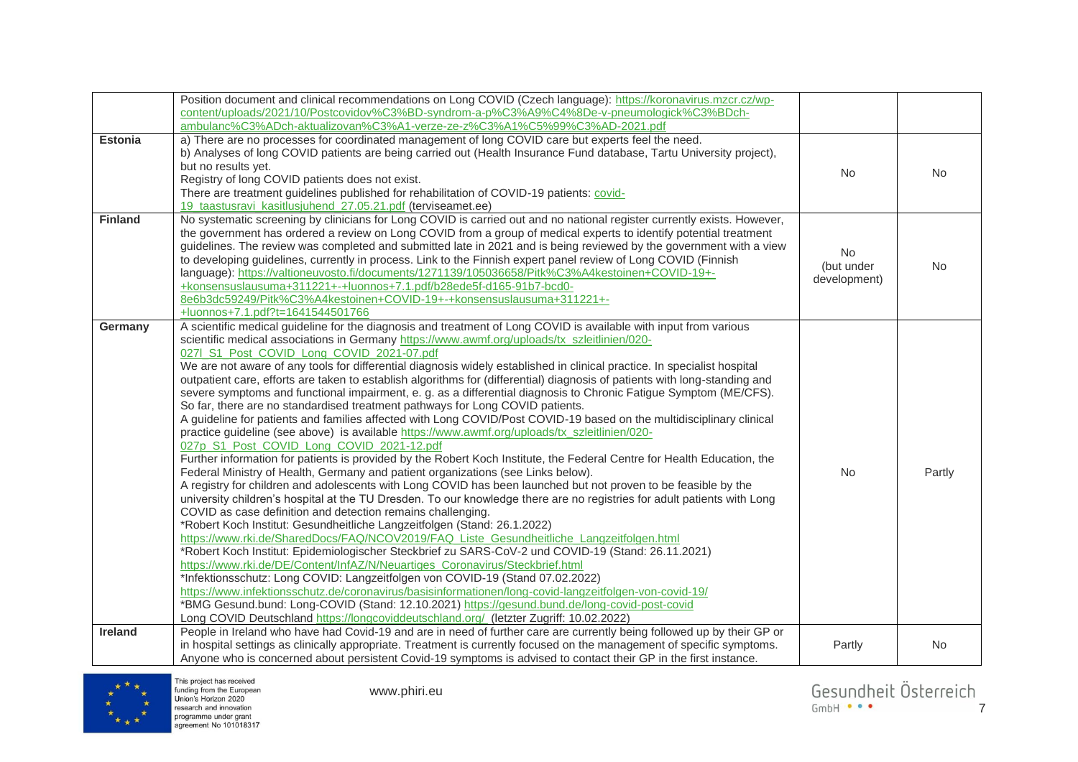|                | Position document and clinical recommendations on Long COVID (Czech language): https://koronavirus.mzcr.cz/wp-             |              |        |
|----------------|----------------------------------------------------------------------------------------------------------------------------|--------------|--------|
|                | content/uploads/2021/10/Postcovidov%C3%BD-syndrom-a-p%C3%A9%C4%8De-v-pneumologick%C3%BDch-                                 |              |        |
|                | ambulanc%C3%ADch-aktualizovan%C3%A1-verze-ze-z%C3%A1%C5%99%C3%AD-2021.pdf                                                  |              |        |
| <b>Estonia</b> | a) There are no processes for coordinated management of long COVID care but experts feel the need.                         |              |        |
|                | b) Analyses of long COVID patients are being carried out (Health Insurance Fund database, Tartu University project),       |              |        |
|                | but no results yet.                                                                                                        |              |        |
|                | Registry of long COVID patients does not exist.                                                                            | No           | No.    |
|                | There are treatment guidelines published for rehabilitation of COVID-19 patients: covid-                                   |              |        |
|                | 19 taastusravi kasitlusjuhend 27.05.21.pdf (terviseamet.ee)                                                                |              |        |
| <b>Finland</b> | No systematic screening by clinicians for Long COVID is carried out and no national register currently exists. However,    |              |        |
|                | the government has ordered a review on Long COVID from a group of medical experts to identify potential treatment          |              |        |
|                | guidelines. The review was completed and submitted late in 2021 and is being reviewed by the government with a view        |              |        |
|                | to developing guidelines, currently in process. Link to the Finnish expert panel review of Long COVID (Finnish             | No.          |        |
|                | language): https://valtioneuvosto.fi/documents/1271139/105036658/Pitk%C3%A4kestoinen+COVID-19+-                            | (but under   | No     |
|                | +konsensuslausuma+311221+-+luonnos+7.1.pdf/b28ede5f-d165-91b7-bcd0-                                                        | development) |        |
|                | 8e6b3dc59249/Pitk%C3%A4kestoinen+COVID-19+-+konsensuslausuma+311221+-                                                      |              |        |
|                | +luonnos+7.1.pdf?t=1641544501766                                                                                           |              |        |
| Germany        | A scientific medical guideline for the diagnosis and treatment of Long COVID is available with input from various          |              |        |
|                | scientific medical associations in Germany https://www.awmf.org/uploads/tx szleitlinien/020-                               |              |        |
|                | 027  S1_Post_COVID_Long_COVID_2021-07.pdf                                                                                  |              |        |
|                | We are not aware of any tools for differential diagnosis widely established in clinical practice. In specialist hospital   |              |        |
|                | outpatient care, efforts are taken to establish algorithms for (differential) diagnosis of patients with long-standing and |              |        |
|                | severe symptoms and functional impairment, e. g. as a differential diagnosis to Chronic Fatigue Symptom (ME/CFS).          |              |        |
|                | So far, there are no standardised treatment pathways for Long COVID patients.                                              |              |        |
|                | A guideline for patients and families affected with Long COVID/Post COVID-19 based on the multidisciplinary clinical       |              |        |
|                | practice guideline (see above) is available https://www.awmf.org/uploads/tx_szleitlinien/020-                              |              |        |
|                | 027p S1_Post_COVID_Long_COVID_2021-12.pdf                                                                                  |              |        |
|                | Further information for patients is provided by the Robert Koch Institute, the Federal Centre for Health Education, the    |              |        |
|                | Federal Ministry of Health, Germany and patient organizations (see Links below).                                           | <b>No</b>    | Partly |
|                | A registry for children and adolescents with Long COVID has been launched but not proven to be feasible by the             |              |        |
|                | university children's hospital at the TU Dresden. To our knowledge there are no registries for adult patients with Long    |              |        |
|                | COVID as case definition and detection remains challenging.                                                                |              |        |
|                | *Robert Koch Institut: Gesundheitliche Langzeitfolgen (Stand: 26.1.2022)                                                   |              |        |
|                | https://www.rki.de/SharedDocs/FAQ/NCOV2019/FAQ_Liste_Gesundheitliche_Langzeitfolgen.html                                   |              |        |
|                | *Robert Koch Institut: Epidemiologischer Steckbrief zu SARS-CoV-2 und COVID-19 (Stand: 26.11.2021)                         |              |        |
|                | https://www.rki.de/DE/Content/InfAZ/N/Neuartiges_Coronavirus/Steckbrief.html                                               |              |        |
|                | *Infektionsschutz: Long COVID: Langzeitfolgen von COVID-19 (Stand 07.02.2022)                                              |              |        |
|                | https://www.infektionsschutz.de/coronavirus/basisinformationen/long-covid-langzeitfolgen-von-covid-19/                     |              |        |
|                | *BMG Gesund.bund: Long-COVID (Stand: 12.10.2021) https://gesund.bund.de/long-covid-post-covid                              |              |        |
|                | Long COVID Deutschland https://longcoviddeutschland.org/ (letzter Zugriff: 10.02.2022)                                     |              |        |
| Ireland        | People in Ireland who have had Covid-19 and are in need of further care are currently being followed up by their GP or     |              |        |
|                | in hospital settings as clinically appropriate. Treatment is currently focused on the management of specific symptoms.     | Partly       | No     |
|                | Anyone who is concerned about persistent Covid-19 symptoms is advised to contact their GP in the first instance.           |              |        |



www.phiri.eu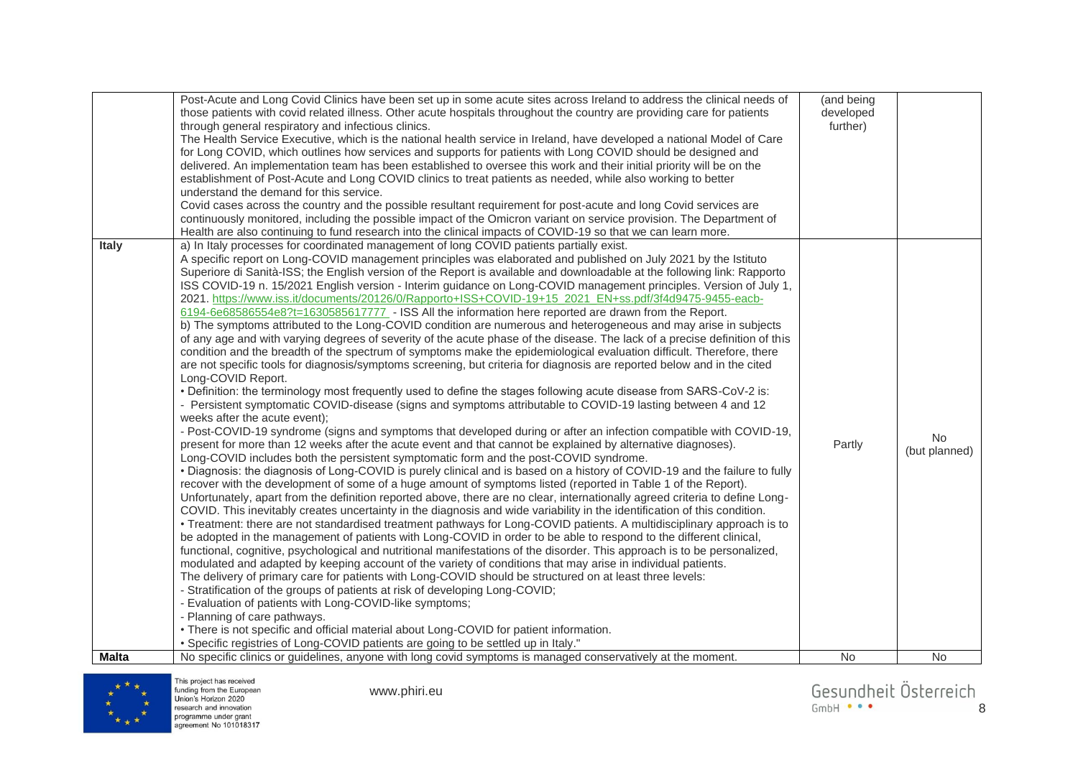| Post-Acute and Long Covid Clinics have been set up in some acute sites across Ireland to address the clinical needs of<br>those patients with covid related illness. Other acute hospitals throughout the country are providing care for patients<br>through general respiratory and infectious clinics.<br>The Health Service Executive, which is the national health service in Ireland, have developed a national Model of Care<br>for Long COVID, which outlines how services and supports for patients with Long COVID should be designed and<br>delivered. An implementation team has been established to oversee this work and their initial priority will be on the<br>establishment of Post-Acute and Long COVID clinics to treat patients as needed, while also working to better<br>understand the demand for this service.<br>Covid cases across the country and the possible resultant requirement for post-acute and long Covid services are<br>continuously monitored, including the possible impact of the Omicron variant on service provision. The Department of<br>Health are also continuing to fund research into the clinical impacts of COVID-19 so that we can learn more.                                                                                                                                                                                                                                                                                                                                                                                                                                                                                                                                                                                                                                                                                                                                                                                                                                                                                                                                                                                                                                                                                                                                                                                                                                                                                                                                                                                                                                                                                                                                                                                                                                                                                                                                                                                                                                                                                                                                                                                                                                                                                                                  | (and being<br>developed<br>further) |                            |
|---------------------------------------------------------------------------------------------------------------------------------------------------------------------------------------------------------------------------------------------------------------------------------------------------------------------------------------------------------------------------------------------------------------------------------------------------------------------------------------------------------------------------------------------------------------------------------------------------------------------------------------------------------------------------------------------------------------------------------------------------------------------------------------------------------------------------------------------------------------------------------------------------------------------------------------------------------------------------------------------------------------------------------------------------------------------------------------------------------------------------------------------------------------------------------------------------------------------------------------------------------------------------------------------------------------------------------------------------------------------------------------------------------------------------------------------------------------------------------------------------------------------------------------------------------------------------------------------------------------------------------------------------------------------------------------------------------------------------------------------------------------------------------------------------------------------------------------------------------------------------------------------------------------------------------------------------------------------------------------------------------------------------------------------------------------------------------------------------------------------------------------------------------------------------------------------------------------------------------------------------------------------------------------------------------------------------------------------------------------------------------------------------------------------------------------------------------------------------------------------------------------------------------------------------------------------------------------------------------------------------------------------------------------------------------------------------------------------------------------------------------------------------------------------------------------------------------------------------------------------------------------------------------------------------------------------------------------------------------------------------------------------------------------------------------------------------------------------------------------------------------------------------------------------------------------------------------------------------------------------------------------------------------------------------------------------|-------------------------------------|----------------------------|
| a) In Italy processes for coordinated management of long COVID patients partially exist.<br><b>Italy</b><br>A specific report on Long-COVID management principles was elaborated and published on July 2021 by the Istituto<br>Superiore di Sanità-ISS; the English version of the Report is available and downloadable at the following link: Rapporto<br>ISS COVID-19 n. 15/2021 English version - Interim guidance on Long-COVID management principles. Version of July 1,<br>2021. https://www.iss.it/documents/20126/0/Rapporto+ISS+COVID-19+15_2021_EN+ss.pdf/3f4d9475-9455-eacb-<br>6194-6e68586554e8?t=1630585617777 - ISS All the information here reported are drawn from the Report.<br>b) The symptoms attributed to the Long-COVID condition are numerous and heterogeneous and may arise in subjects<br>of any age and with varying degrees of severity of the acute phase of the disease. The lack of a precise definition of this<br>condition and the breadth of the spectrum of symptoms make the epidemiological evaluation difficult. Therefore, there<br>are not specific tools for diagnosis/symptoms screening, but criteria for diagnosis are reported below and in the cited<br>Long-COVID Report.<br>• Definition: the terminology most frequently used to define the stages following acute disease from SARS-CoV-2 is:<br>- Persistent symptomatic COVID-disease (signs and symptoms attributable to COVID-19 lasting between 4 and 12<br>weeks after the acute event);<br>- Post-COVID-19 syndrome (signs and symptoms that developed during or after an infection compatible with COVID-19,<br>present for more than 12 weeks after the acute event and that cannot be explained by alternative diagnoses).<br>Long-COVID includes both the persistent symptomatic form and the post-COVID syndrome.<br>• Diagnosis: the diagnosis of Long-COVID is purely clinical and is based on a history of COVID-19 and the failure to fully<br>recover with the development of some of a huge amount of symptoms listed (reported in Table 1 of the Report).<br>Unfortunately, apart from the definition reported above, there are no clear, internationally agreed criteria to define Long-<br>COVID. This inevitably creates uncertainty in the diagnosis and wide variability in the identification of this condition.<br>• Treatment: there are not standardised treatment pathways for Long-COVID patients. A multidisciplinary approach is to<br>be adopted in the management of patients with Long-COVID in order to be able to respond to the different clinical,<br>functional, cognitive, psychological and nutritional manifestations of the disorder. This approach is to be personalized,<br>modulated and adapted by keeping account of the variety of conditions that may arise in individual patients.<br>The delivery of primary care for patients with Long-COVID should be structured on at least three levels:<br>- Stratification of the groups of patients at risk of developing Long-COVID;<br>- Evaluation of patients with Long-COVID-like symptoms;<br>- Planning of care pathways.<br>• There is not specific and official material about Long-COVID for patient information.<br>• Specific registries of Long-COVID patients are going to be settled up in Italy." | Partly                              | <b>No</b><br>(but planned) |
| <b>Malta</b><br>No specific clinics or guidelines, anyone with long covid symptoms is managed conservatively at the moment.                                                                                                                                                                                                                                                                                                                                                                                                                                                                                                                                                                                                                                                                                                                                                                                                                                                                                                                                                                                                                                                                                                                                                                                                                                                                                                                                                                                                                                                                                                                                                                                                                                                                                                                                                                                                                                                                                                                                                                                                                                                                                                                                                                                                                                                                                                                                                                                                                                                                                                                                                                                                                                                                                                                                                                                                                                                                                                                                                                                                                                                                                                                                                                                         | <b>No</b>                           | No                         |

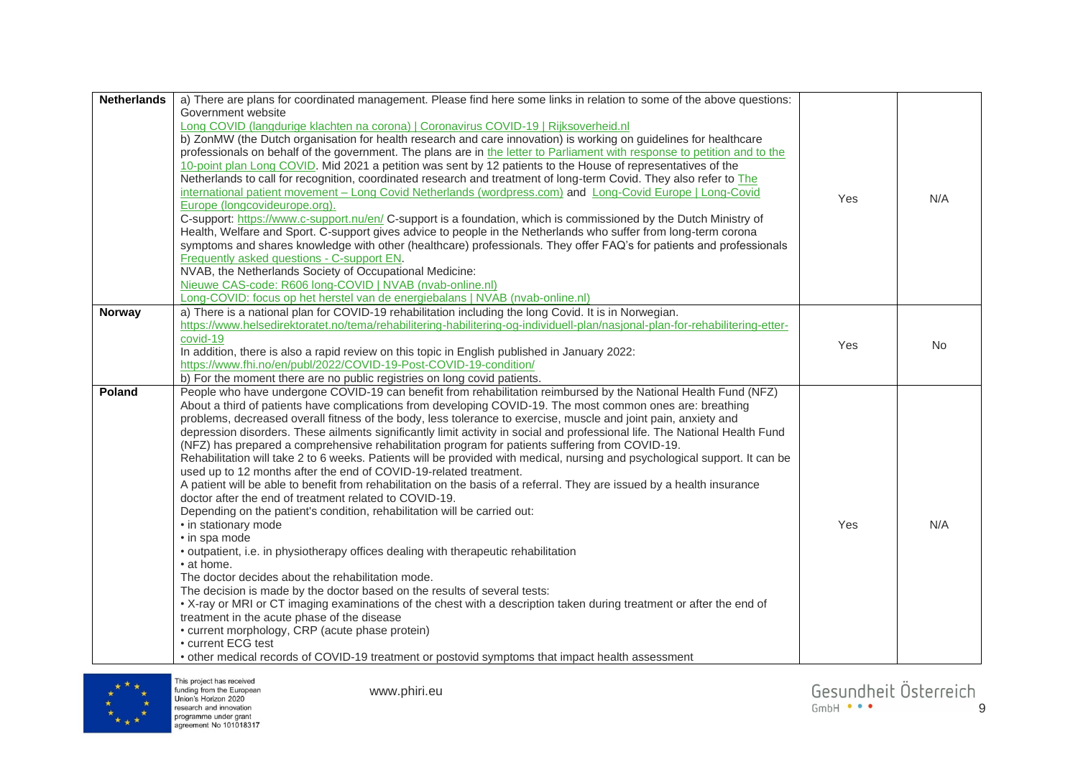| <b>Netherlands</b> | a) There are plans for coordinated management. Please find here some links in relation to some of the above questions:        |     |           |
|--------------------|-------------------------------------------------------------------------------------------------------------------------------|-----|-----------|
|                    | Government website                                                                                                            |     |           |
|                    | Long COVID (langdurige klachten na corona)   Coronavirus COVID-19   Rijksoverheid.nl                                          |     |           |
|                    | b) ZonMW (the Dutch organisation for health research and care innovation) is working on guidelines for healthcare             |     |           |
|                    | professionals on behalf of the government. The plans are in the letter to Parliament with response to petition and to the     |     |           |
|                    | 10-point plan Long COVID. Mid 2021 a petition was sent by 12 patients to the House of representatives of the                  |     |           |
|                    | Netherlands to call for recognition, coordinated research and treatment of long-term Covid. They also refer to The            |     |           |
|                    | international patient movement - Long Covid Netherlands (wordpress.com) and Long-Covid Europe   Long-Covid                    |     |           |
|                    | Europe (longcovideurope.org).                                                                                                 | Yes | N/A       |
|                    | C-support: https://www.c-support.nu/en/ C-support is a foundation, which is commissioned by the Dutch Ministry of             |     |           |
|                    | Health, Welfare and Sport. C-support gives advice to people in the Netherlands who suffer from long-term corona               |     |           |
|                    | symptoms and shares knowledge with other (healthcare) professionals. They offer FAQ's for patients and professionals          |     |           |
|                    | Frequently asked questions - C-support EN.                                                                                    |     |           |
|                    | NVAB, the Netherlands Society of Occupational Medicine:                                                                       |     |           |
|                    | Nieuwe CAS-code: R606 long-COVID   NVAB (nvab-online.nl)                                                                      |     |           |
|                    | Long-COVID: focus op het herstel van de energiebalans   NVAB (nvab-online.nl)                                                 |     |           |
| <b>Norway</b>      | a) There is a national plan for COVID-19 rehabilitation including the long Covid. It is in Norwegian.                         |     |           |
|                    | https://www.helsedirektoratet.no/tema/rehabilitering-habilitering-og-individuell-plan/nasjonal-plan-for-rehabilitering-etter- |     |           |
|                    | covid-19                                                                                                                      | Yes | <b>No</b> |
|                    | In addition, there is also a rapid review on this topic in English published in January 2022:                                 |     |           |
|                    | https://www.fhi.no/en/publ/2022/COVID-19-Post-COVID-19-condition/                                                             |     |           |
|                    | b) For the moment there are no public registries on long covid patients.                                                      |     |           |
| Poland             | People who have undergone COVID-19 can benefit from rehabilitation reimbursed by the National Health Fund (NFZ)               |     |           |
|                    | About a third of patients have complications from developing COVID-19. The most common ones are: breathing                    |     |           |
|                    | problems, decreased overall fitness of the body, less tolerance to exercise, muscle and joint pain, anxiety and               |     |           |
|                    | depression disorders. These ailments significantly limit activity in social and professional life. The National Health Fund   |     |           |
|                    | (NFZ) has prepared a comprehensive rehabilitation program for patients suffering from COVID-19.                               |     |           |
|                    | Rehabilitation will take 2 to 6 weeks. Patients will be provided with medical, nursing and psychological support. It can be   |     |           |
|                    | used up to 12 months after the end of COVID-19-related treatment.                                                             |     |           |
|                    | A patient will be able to benefit from rehabilitation on the basis of a referral. They are issued by a health insurance       |     |           |
|                    | doctor after the end of treatment related to COVID-19.                                                                        |     |           |
|                    | Depending on the patient's condition, rehabilitation will be carried out:                                                     |     |           |
|                    | • in stationary mode                                                                                                          | Yes | N/A       |
|                    | • in spa mode                                                                                                                 |     |           |
|                    | • outpatient, i.e. in physiotherapy offices dealing with therapeutic rehabilitation                                           |     |           |
|                    | • at home.                                                                                                                    |     |           |
|                    | The doctor decides about the rehabilitation mode.                                                                             |     |           |
|                    | The decision is made by the doctor based on the results of several tests:                                                     |     |           |
|                    | • X-ray or MRI or CT imaging examinations of the chest with a description taken during treatment or after the end of          |     |           |
|                    | treatment in the acute phase of the disease                                                                                   |     |           |
|                    | • current morphology, CRP (acute phase protein)                                                                               |     |           |
|                    | • current ECG test                                                                                                            |     |           |
|                    | • other medical records of COVID-19 treatment or postovid symptoms that impact health assessment                              |     |           |

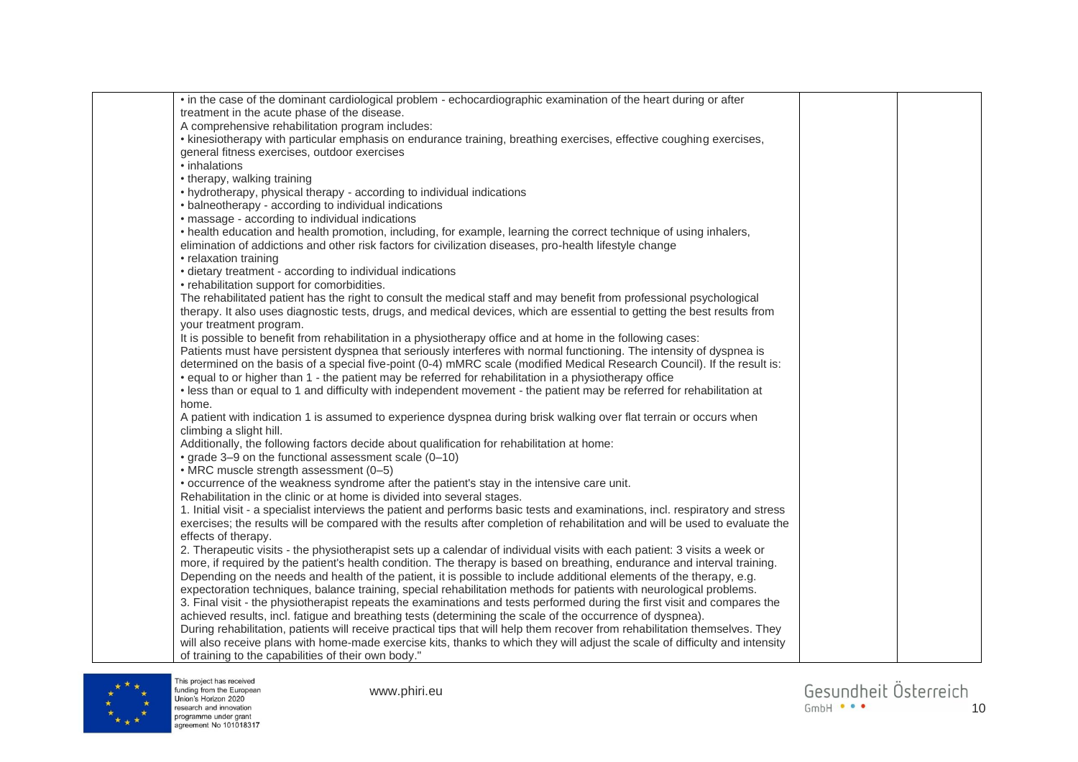| • in the case of the dominant cardiological problem - echocardiographic examination of the heart during or after               |  |
|--------------------------------------------------------------------------------------------------------------------------------|--|
| treatment in the acute phase of the disease.                                                                                   |  |
| A comprehensive rehabilitation program includes:                                                                               |  |
| • kinesiotherapy with particular emphasis on endurance training, breathing exercises, effective coughing exercises,            |  |
| general fitness exercises, outdoor exercises                                                                                   |  |
| • inhalations                                                                                                                  |  |
| • therapy, walking training                                                                                                    |  |
| • hydrotherapy, physical therapy - according to individual indications                                                         |  |
| • balneotherapy - according to individual indications                                                                          |  |
| · massage - according to individual indications                                                                                |  |
|                                                                                                                                |  |
| • health education and health promotion, including, for example, learning the correct technique of using inhalers,             |  |
| elimination of addictions and other risk factors for civilization diseases, pro-health lifestyle change                        |  |
| • relaxation training                                                                                                          |  |
| • dietary treatment - according to individual indications                                                                      |  |
| • rehabilitation support for comorbidities.                                                                                    |  |
| The rehabilitated patient has the right to consult the medical staff and may benefit from professional psychological           |  |
| therapy. It also uses diagnostic tests, drugs, and medical devices, which are essential to getting the best results from       |  |
| your treatment program.                                                                                                        |  |
| It is possible to benefit from rehabilitation in a physiotherapy office and at home in the following cases:                    |  |
| Patients must have persistent dyspnea that seriously interferes with normal functioning. The intensity of dyspnea is           |  |
| determined on the basis of a special five-point (0-4) mMRC scale (modified Medical Research Council). If the result is:        |  |
| • equal to or higher than 1 - the patient may be referred for rehabilitation in a physiotherapy office                         |  |
| . less than or equal to 1 and difficulty with independent movement - the patient may be referred for rehabilitation at         |  |
| home.                                                                                                                          |  |
| A patient with indication 1 is assumed to experience dyspnea during brisk walking over flat terrain or occurs when             |  |
| climbing a slight hill.                                                                                                        |  |
| Additionally, the following factors decide about qualification for rehabilitation at home:                                     |  |
| • grade 3-9 on the functional assessment scale (0-10)                                                                          |  |
| • MRC muscle strength assessment (0-5)                                                                                         |  |
| • occurrence of the weakness syndrome after the patient's stay in the intensive care unit.                                     |  |
| Rehabilitation in the clinic or at home is divided into several stages.                                                        |  |
| 1. Initial visit - a specialist interviews the patient and performs basic tests and examinations, incl. respiratory and stress |  |
| exercises; the results will be compared with the results after completion of rehabilitation and will be used to evaluate the   |  |
| effects of therapy.                                                                                                            |  |
| 2. Therapeutic visits - the physiotherapist sets up a calendar of individual visits with each patient: 3 visits a week or      |  |
| more, if required by the patient's health condition. The therapy is based on breathing, endurance and interval training.       |  |
| Depending on the needs and health of the patient, it is possible to include additional elements of the therapy, e.g.           |  |
| expectoration techniques, balance training, special rehabilitation methods for patients with neurological problems.            |  |
| 3. Final visit - the physiotherapist repeats the examinations and tests performed during the first visit and compares the      |  |
| achieved results, incl. fatigue and breathing tests (determining the scale of the occurrence of dyspnea).                      |  |
| During rehabilitation, patients will receive practical tips that will help them recover from rehabilitation themselves. They   |  |
| will also receive plans with home-made exercise kits, thanks to which they will adjust the scale of difficulty and intensity   |  |
| of training to the capabilities of their own body."                                                                            |  |
|                                                                                                                                |  |

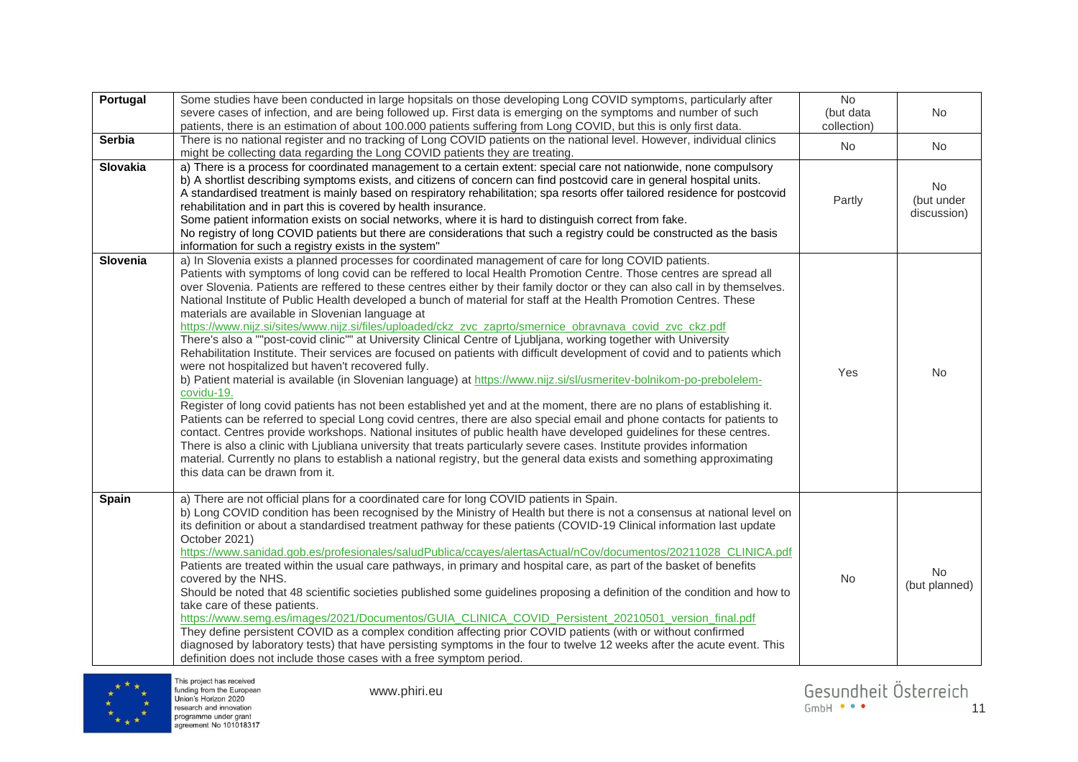| Portugal        | Some studies have been conducted in large hopsitals on those developing Long COVID symptoms, particularly after<br>severe cases of infection, and are being followed up. First data is emerging on the symptoms and number of such<br>patients, there is an estimation of about 100.000 patients suffering from Long COVID, but this is only first data.                                                                                                                                                                                                                                                                                                                                                                                                                                                                                                                                                                                                                                                                                                                                                                                                                                                                                                                                                                                                                                                                                                                                                                                                                                                                                                                                                                                                             | No<br>(but data<br>collection) | No                               |
|-----------------|----------------------------------------------------------------------------------------------------------------------------------------------------------------------------------------------------------------------------------------------------------------------------------------------------------------------------------------------------------------------------------------------------------------------------------------------------------------------------------------------------------------------------------------------------------------------------------------------------------------------------------------------------------------------------------------------------------------------------------------------------------------------------------------------------------------------------------------------------------------------------------------------------------------------------------------------------------------------------------------------------------------------------------------------------------------------------------------------------------------------------------------------------------------------------------------------------------------------------------------------------------------------------------------------------------------------------------------------------------------------------------------------------------------------------------------------------------------------------------------------------------------------------------------------------------------------------------------------------------------------------------------------------------------------------------------------------------------------------------------------------------------------|--------------------------------|----------------------------------|
| <b>Serbia</b>   | There is no national register and no tracking of Long COVID patients on the national level. However, individual clinics<br>might be collecting data regarding the Long COVID patients they are treating.                                                                                                                                                                                                                                                                                                                                                                                                                                                                                                                                                                                                                                                                                                                                                                                                                                                                                                                                                                                                                                                                                                                                                                                                                                                                                                                                                                                                                                                                                                                                                             | No                             | No                               |
| <b>Slovakia</b> | a) There is a process for coordinated management to a certain extent: special care not nationwide, none compulsory<br>b) A shortlist describing symptoms exists, and citizens of concern can find postcovid care in general hospital units.<br>A standardised treatment is mainly based on respiratory rehabilitation; spa resorts offer tailored residence for postcovid<br>rehabilitation and in part this is covered by health insurance.<br>Some patient information exists on social networks, where it is hard to distinguish correct from fake.<br>No registry of long COVID patients but there are considerations that such a registry could be constructed as the basis<br>information for such a registry exists in the system"                                                                                                                                                                                                                                                                                                                                                                                                                                                                                                                                                                                                                                                                                                                                                                                                                                                                                                                                                                                                                            | Partly                         | No.<br>(but under<br>discussion) |
| Slovenia        | a) In Slovenia exists a planned processes for coordinated management of care for long COVID patients.<br>Patients with symptoms of long covid can be reffered to local Health Promotion Centre. Those centres are spread all<br>over Slovenia. Patients are reffered to these centres either by their family doctor or they can also call in by themselves.<br>National Institute of Public Health developed a bunch of material for staff at the Health Promotion Centres. These<br>materials are available in Slovenian language at<br>https://www.nijz.si/sites/www.nijz.si/files/uploaded/ckz_zvc_zaprto/smernice_obravnava_covid_zvc_ckz.pdf<br>There's also a ""post-covid clinic"" at University Clinical Centre of Ljubljana, working together with University<br>Rehabilitation Institute. Their services are focused on patients with difficult development of covid and to patients which<br>were not hospitalized but haven't recovered fully.<br>b) Patient material is available (in Slovenian language) at https://www.nijz.si/sl/usmeritev-bolnikom-po-prebolelem-<br>covidu-19.<br>Register of long covid patients has not been established yet and at the moment, there are no plans of establishing it.<br>Patients can be referred to special Long covid centres, there are also special email and phone contacts for patients to<br>contact. Centres provide workshops. National insitutes of public health have developed guidelines for these centres.<br>There is also a clinic with Ljubliana university that treats particularly severe cases. Institute provides information<br>material. Currently no plans to establish a national registry, but the general data exists and something approximating<br>this data can be drawn from it. | Yes                            | No                               |
| Spain           | a) There are not official plans for a coordinated care for long COVID patients in Spain.<br>b) Long COVID condition has been recognised by the Ministry of Health but there is not a consensus at national level on<br>its definition or about a standardised treatment pathway for these patients (COVID-19 Clinical information last update<br>October 2021)<br>https://www.sanidad.gob.es/profesionales/saludPublica/ccayes/alertasActual/nCov/documentos/20211028 CLINICA.pdf<br>Patients are treated within the usual care pathways, in primary and hospital care, as part of the basket of benefits<br>covered by the NHS.<br>Should be noted that 48 scientific societies published some guidelines proposing a definition of the condition and how to<br>take care of these patients.<br>https://www.semg.es/images/2021/Documentos/GUIA CLINICA COVID Persistent 20210501 version final.pdf<br>They define persistent COVID as a complex condition affecting prior COVID patients (with or without confirmed<br>diagnosed by laboratory tests) that have persisting symptoms in the four to twelve 12 weeks after the acute event. This<br>definition does not include those cases with a free symptom period.                                                                                                                                                                                                                                                                                                                                                                                                                                                                                                                                              | <b>No</b>                      | <b>No</b><br>(but planned)       |

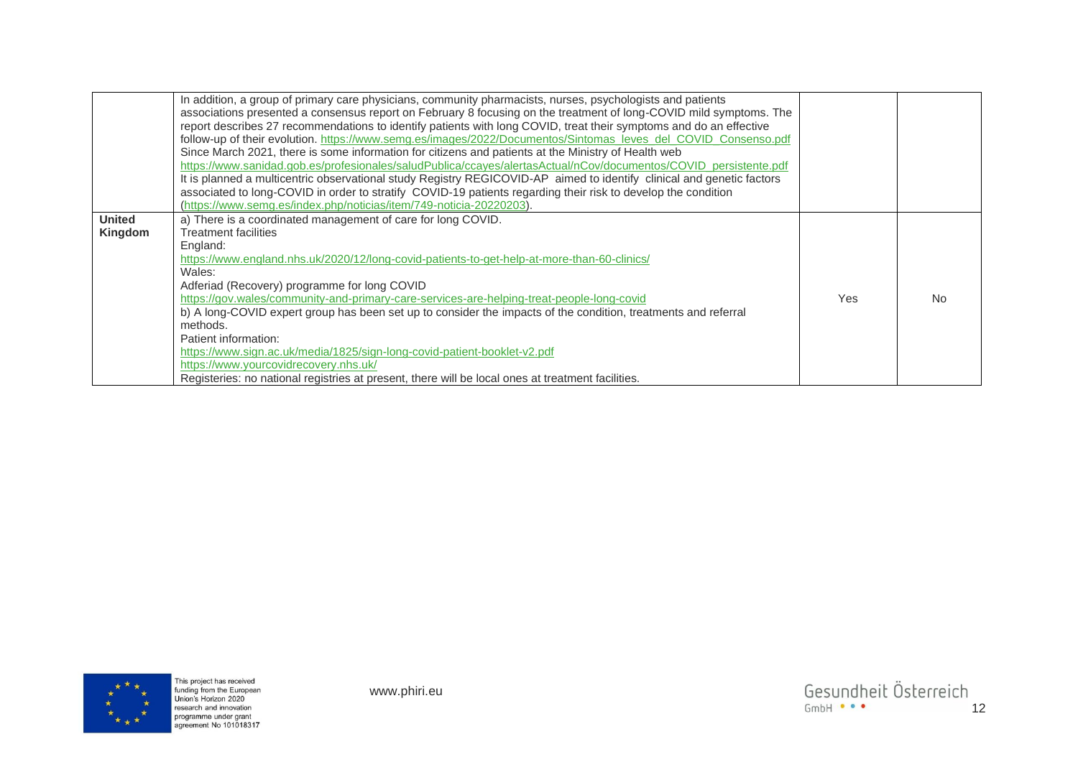|                          | In addition, a group of primary care physicians, community pharmacists, nurses, psychologists and patients<br>associations presented a consensus report on February 8 focusing on the treatment of long-COVID mild symptoms. The<br>report describes 27 recommendations to identify patients with long COVID, treat their symptoms and do an effective<br>follow-up of their evolution. https://www.semg.es/images/2022/Documentos/Sintomas leves del COVID Consenso.pdf<br>Since March 2021, there is some information for citizens and patients at the Ministry of Health web<br>https://www.sanidad.gob.es/profesionales/saludPublica/ccaves/alertasActual/nCov/documentos/COVID persistente.pdf<br>It is planned a multicentric observational study Registry REGICOVID-AP aimed to identify clinical and genetic factors<br>associated to long-COVID in order to stratify COVID-19 patients regarding their risk to develop the condition<br>(https://www.semg.es/index.php/noticias/item/749-noticia-20220203). |     |    |
|--------------------------|----------------------------------------------------------------------------------------------------------------------------------------------------------------------------------------------------------------------------------------------------------------------------------------------------------------------------------------------------------------------------------------------------------------------------------------------------------------------------------------------------------------------------------------------------------------------------------------------------------------------------------------------------------------------------------------------------------------------------------------------------------------------------------------------------------------------------------------------------------------------------------------------------------------------------------------------------------------------------------------------------------------------|-----|----|
| <b>United</b><br>Kingdom | a) There is a coordinated management of care for long COVID.<br><b>Treatment facilities</b><br>England:<br>https://www.england.nhs.uk/2020/12/long-covid-patients-to-get-help-at-more-than-60-clinics/<br>Wales:<br>Adferiad (Recovery) programme for long COVID<br>https://gov.wales/community-and-primary-care-services-are-helping-treat-people-long-covid<br>b) A long-COVID expert group has been set up to consider the impacts of the condition, treatments and referral<br>methods.<br>Patient information:<br>https://www.sign.ac.uk/media/1825/sign-long-covid-patient-booklet-v2.pdf<br>https://www.yourcovidrecovery.nhs.uk/<br>Registeries: no national registries at present, there will be local ones at treatment facilities.                                                                                                                                                                                                                                                                        | Yes | No |